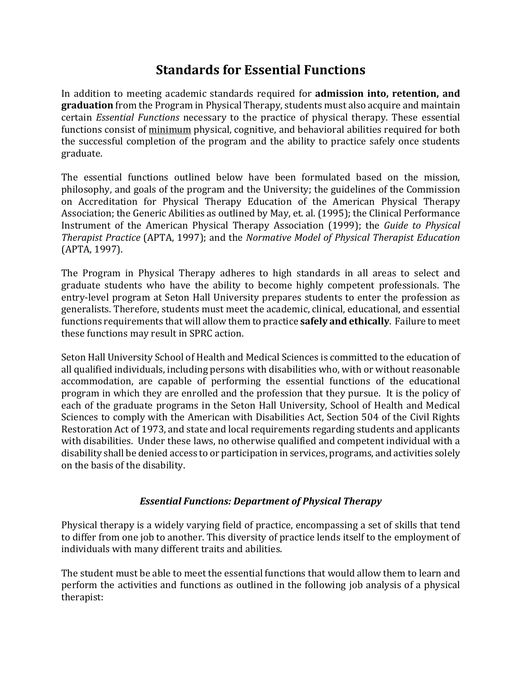# **Standards for Essential Functions**

In addition to meeting academic standards required for **admission into, retention, and graduation** from the Program in Physical Therapy, students must also acquire and maintain certain *Essential Functions* necessary to the practice of physical therapy. These essential functions consist of minimum physical, cognitive, and behavioral abilities required for both the successful completion of the program and the ability to practice safely once students graduate.

The essential functions outlined below have been formulated based on the mission, philosophy, and goals of the program and the University; the guidelines of the Commission on Accreditation for Physical Therapy Education of the American Physical Therapy Association; the Generic Abilities as outlined by May, et. al. (1995); the Clinical Performance Instrument of the American Physical Therapy Association (1999); the *Guide to Physical Therapist Practice* (APTA, 1997); and the *Normative Model of Physical Therapist Education* (APTA, 1997).

The Program in Physical Therapy adheres to high standards in all areas to select and graduate students who have the ability to become highly competent professionals. The entry-level program at Seton Hall University prepares students to enter the profession as generalists. Therefore, students must meet the academic, clinical, educational, and essential functions requirements that will allow them to practice **safely and ethically**. Failure to meet these functions may result in SPRC action.

Seton Hall University School of Health and Medical Sciences is committed to the education of all qualified individuals, including persons with disabilities who, with or without reasonable accommodation, are capable of performing the essential functions of the educational program in which they are enrolled and the profession that they pursue. It is the policy of each of the graduate programs in the Seton Hall University, School of Health and Medical Sciences to comply with the American with Disabilities Act, Section 504 of the Civil Rights Restoration Act of 1973, and state and local requirements regarding students and applicants with disabilities. Under these laws, no otherwise qualified and competent individual with a disability shall be denied access to or participation in services, programs, and activities solely on the basis of the disability.

### *Essential Functions: Department of Physical Therapy*

Physical therapy is a widely varying field of practice, encompassing a set of skills that tend to differ from one job to another. This diversity of practice lends itself to the employment of individuals with many different traits and abilities.

The student must be able to meet the essential functions that would allow them to learn and perform the activities and functions as outlined in the following job analysis of a physical therapist: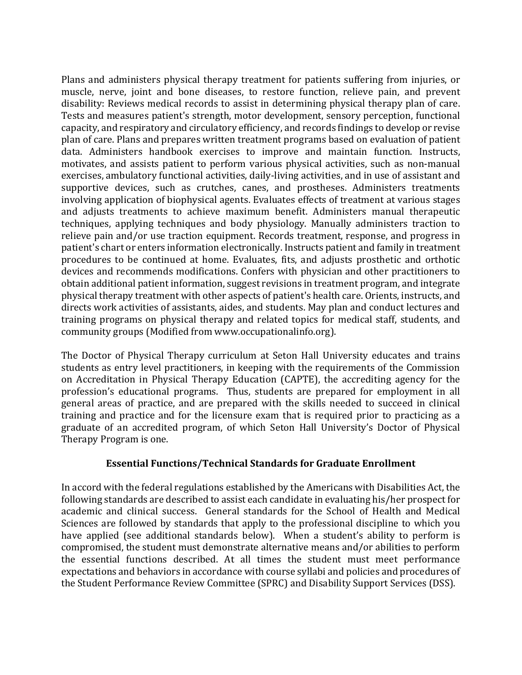Plans and administers physical therapy treatment for patients suffering from injuries, or muscle, nerve, joint and bone diseases, to restore function, relieve pain, and prevent disability: Reviews medical records to assist in determining physical therapy plan of care. Tests and measures patient's strength, motor development, sensory perception, functional capacity, and respiratory and circulatory efficiency, and records findings to develop or revise plan of care. Plans and prepares written treatment programs based on evaluation of patient data. Administers handbook exercises to improve and maintain function. Instructs, motivates, and assists patient to perform various physical activities, such as non-manual exercises, ambulatory functional activities, daily-living activities, and in use of assistant and supportive devices, such as crutches, canes, and prostheses. Administers treatments involving application of biophysical agents. Evaluates effects of treatment at various stages and adjusts treatments to achieve maximum benefit. Administers manual therapeutic techniques, applying techniques and body physiology. Manually administers traction to relieve pain and/or use traction equipment. Records treatment, response, and progress in patient's chart or enters information electronically. Instructs patient and family in treatment procedures to be continued at home. Evaluates, fits, and adjusts prosthetic and orthotic devices and recommends modifications. Confers with physician and other practitioners to obtain additional patient information, suggest revisions in treatment program, and integrate physical therapy treatment with other aspects of patient's health care. Orients, instructs, and directs work activities of assistants, aides, and students. May plan and conduct lectures and training programs on physical therapy and related topics for medical staff, students, and community groups (Modified from www.occupationalinfo.org).

The Doctor of Physical Therapy curriculum at Seton Hall University educates and trains students as entry level practitioners, in keeping with the requirements of the Commission on Accreditation in Physical Therapy Education (CAPTE), the accrediting agency for the profession's educational programs. Thus, students are prepared for employment in all general areas of practice, and are prepared with the skills needed to succeed in clinical training and practice and for the licensure exam that is required prior to practicing as a graduate of an accredited program, of which Seton Hall University's Doctor of Physical Therapy Program is one.

### **Essential Functions/Technical Standards for Graduate Enrollment**

In accord with the federal regulations established by the Americans with Disabilities Act, the following standards are described to assist each candidate in evaluating his/her prospect for academic and clinical success. General standards for the School of Health and Medical Sciences are followed by standards that apply to the professional discipline to which you have applied (see additional standards below). When a student's ability to perform is compromised, the student must demonstrate alternative means and/or abilities to perform the essential functions described. At all times the student must meet performance expectations and behaviors in accordance with course syllabi and policies and procedures of the Student Performance Review Committee (SPRC) and Disability Support Services (DSS).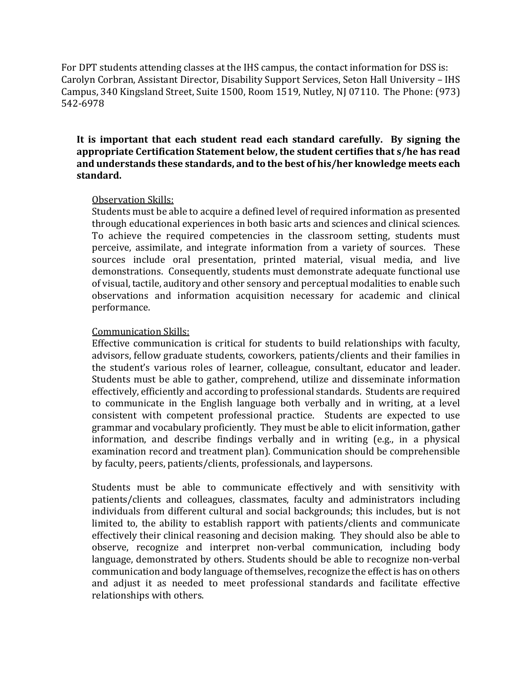For DPT students attending classes at the IHS campus, the contact information for DSS is: Carolyn Corbran, Assistant Director, Disability Support Services, Seton Hall University – IHS Campus, 340 Kingsland Street, Suite 1500, Room 1519, Nutley, NJ 07110. The Phone: (973) 542-6978

**It is important that each student read each standard carefully. By signing the appropriate Certification Statement below, the student certifies that s/he has read and understands these standards, and to the best of his/her knowledge meets each standard.** 

#### Observation Skills:

Students must be able to acquire a defined level of required information as presented through educational experiences in both basic arts and sciences and clinical sciences. To achieve the required competencies in the classroom setting, students must perceive, assimilate, and integrate information from a variety of sources. These sources include oral presentation, printed material, visual media, and live demonstrations. Consequently, students must demonstrate adequate functional use of visual, tactile, auditory and other sensory and perceptual modalities to enable such observations and information acquisition necessary for academic and clinical performance.

#### Communication Skills:

Effective communication is critical for students to build relationships with faculty, advisors, fellow graduate students, coworkers, patients/clients and their families in the student's various roles of learner, colleague, consultant, educator and leader. Students must be able to gather, comprehend, utilize and disseminate information effectively, efficiently and according to professional standards. Students are required to communicate in the English language both verbally and in writing, at a level consistent with competent professional practice. Students are expected to use grammar and vocabulary proficiently. They must be able to elicit information, gather information, and describe findings verbally and in writing (e.g., in a physical examination record and treatment plan). Communication should be comprehensible by faculty, peers, patients/clients, professionals, and laypersons.

Students must be able to communicate effectively and with sensitivity with patients/clients and colleagues, classmates, faculty and administrators including individuals from different cultural and social backgrounds; this includes, but is not limited to, the ability to establish rapport with patients/clients and communicate effectively their clinical reasoning and decision making. They should also be able to observe, recognize and interpret non-verbal communication, including body language, demonstrated by others. Students should be able to recognize non-verbal communication and body language of themselves, recognize the effect is has on others and adjust it as needed to meet professional standards and facilitate effective relationships with others.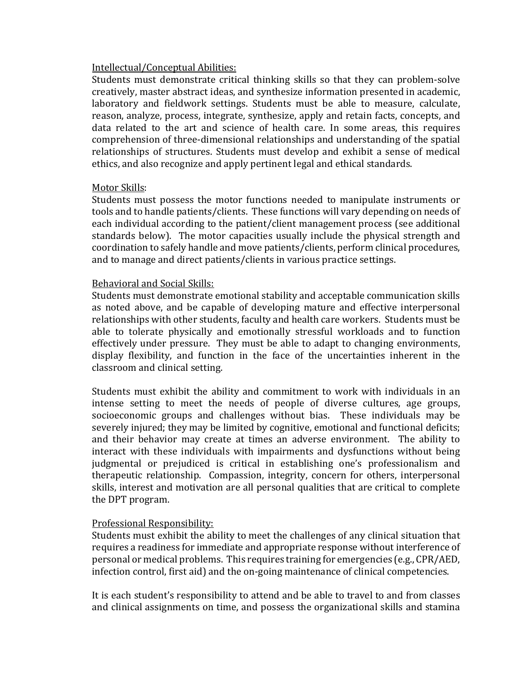### Intellectual/Conceptual Abilities:

Students must demonstrate critical thinking skills so that they can problem-solve creatively, master abstract ideas, and synthesize information presented in academic, laboratory and fieldwork settings. Students must be able to measure, calculate, reason, analyze, process, integrate, synthesize, apply and retain facts, concepts, and data related to the art and science of health care. In some areas, this requires comprehension of three-dimensional relationships and understanding of the spatial relationships of structures. Students must develop and exhibit a sense of medical ethics, and also recognize and apply pertinent legal and ethical standards.

#### Motor Skills:

Students must possess the motor functions needed to manipulate instruments or tools and to handle patients/clients. These functions will vary depending on needs of each individual according to the patient/client management process (see additional standards below). The motor capacities usually include the physical strength and coordination to safely handle and move patients/clients, perform clinical procedures, and to manage and direct patients/clients in various practice settings.

#### Behavioral and Social Skills:

Students must demonstrate emotional stability and acceptable communication skills as noted above, and be capable of developing mature and effective interpersonal relationships with other students, faculty and health care workers. Students must be able to tolerate physically and emotionally stressful workloads and to function effectively under pressure. They must be able to adapt to changing environments, display flexibility, and function in the face of the uncertainties inherent in the classroom and clinical setting.

Students must exhibit the ability and commitment to work with individuals in an intense setting to meet the needs of people of diverse cultures, age groups, socioeconomic groups and challenges without bias. These individuals may be severely injured; they may be limited by cognitive, emotional and functional deficits; and their behavior may create at times an adverse environment. The ability to interact with these individuals with impairments and dysfunctions without being judgmental or prejudiced is critical in establishing one's professionalism and therapeutic relationship. Compassion, integrity, concern for others, interpersonal skills, interest and motivation are all personal qualities that are critical to complete the DPT program.

#### Professional Responsibility:

Students must exhibit the ability to meet the challenges of any clinical situation that requires a readiness for immediate and appropriate response without interference of personal or medical problems. This requires training for emergencies (e.g., CPR/AED, infection control, first aid) and the on-going maintenance of clinical competencies.

It is each student's responsibility to attend and be able to travel to and from classes and clinical assignments on time, and possess the organizational skills and stamina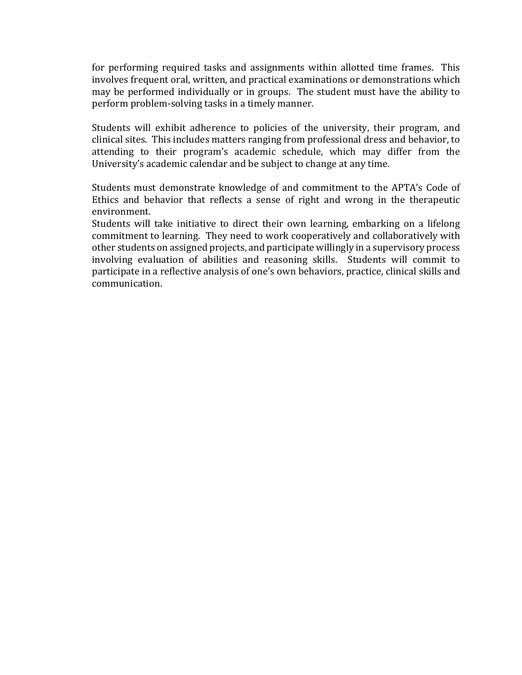for performing required tasks and assignments within allotted time frames. This involves frequent oral, written, and practical examinations or demonstrations which may be performed individually or in groups. The student must have the ability to perform problem-solving tasks in a timely manner.

Students will exhibit adherence to policies of the university, their program, and clinical sites. This includes matters ranging from professional dress and behavior, to attending to their program's academic schedule, which may differ from the University's academic calendar and be subject to change at any time.

Students must demonstrate knowledge of and commitment to the APTA's Code of Ethics and behavior that reflects a sense of right and wrong in the therapeutic environment.

Students will take initiative to direct their own learning, embarking on a lifelong commitment to learning. They need to work cooperatively and collaboratively with other students on assigned projects, and participate willingly in a supervisory process involving evaluation of abilities and reasoning skills. Students will commit to participate in a reflective analysis of one's own behaviors, practice, clinical skills and communication.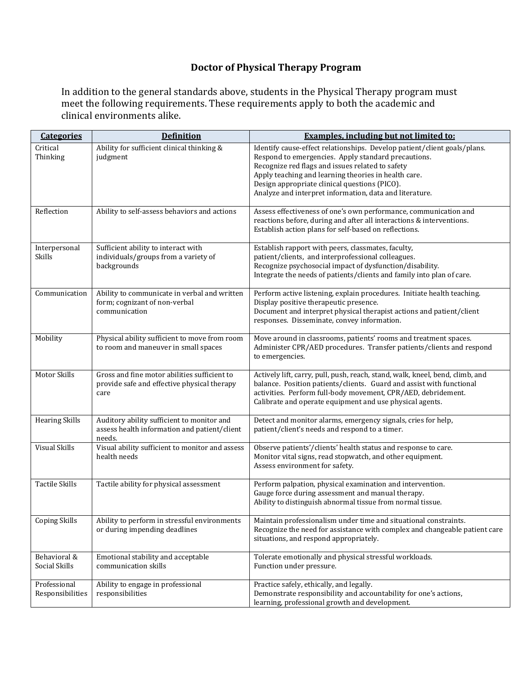## **Doctor of Physical Therapy Program**

In addition to the general standards above, students in the Physical Therapy program must meet the following requirements. These requirements apply to both the academic and clinical environments alike.

| <b>Categories</b>                | <b>Definition</b>                                                                                    | <b>Examples, including but not limited to:</b>                                                                                                                                                                                                                                                                                                          |
|----------------------------------|------------------------------------------------------------------------------------------------------|---------------------------------------------------------------------------------------------------------------------------------------------------------------------------------------------------------------------------------------------------------------------------------------------------------------------------------------------------------|
| Critical<br>Thinking             | Ability for sufficient clinical thinking &<br>judgment                                               | Identify cause-effect relationships. Develop patient/client goals/plans.<br>Respond to emergencies. Apply standard precautions.<br>Recognize red flags and issues related to safety<br>Apply teaching and learning theories in health care.<br>Design appropriate clinical questions (PICO).<br>Analyze and interpret information, data and literature. |
| Reflection                       | Ability to self-assess behaviors and actions                                                         | Assess effectiveness of one's own performance, communication and<br>reactions before, during and after all interactions & interventions.<br>Establish action plans for self-based on reflections.                                                                                                                                                       |
| Interpersonal<br>Skills          | Sufficient ability to interact with<br>individuals/groups from a variety of<br>backgrounds           | Establish rapport with peers, classmates, faculty,<br>patient/clients, and interprofessional colleagues.<br>Recognize psychosocial impact of dysfunction/disability.<br>Integrate the needs of patients/clients and family into plan of care.                                                                                                           |
| Communication                    | Ability to communicate in verbal and written<br>form; cognizant of non-verbal<br>communication       | Perform active listening, explain procedures. Initiate health teaching.<br>Display positive therapeutic presence.<br>Document and interpret physical therapist actions and patient/client<br>responses. Disseminate, convey information.                                                                                                                |
| Mobility                         | Physical ability sufficient to move from room<br>to room and maneuver in small spaces                | Move around in classrooms, patients' rooms and treatment spaces.<br>Administer CPR/AED procedures. Transfer patients/clients and respond<br>to emergencies.                                                                                                                                                                                             |
| Motor Skills                     | Gross and fine motor abilities sufficient to<br>provide safe and effective physical therapy<br>care  | Actively lift, carry, pull, push, reach, stand, walk, kneel, bend, climb, and<br>balance. Position patients/clients. Guard and assist with functional<br>activities. Perform full-body movement, CPR/AED, debridement.<br>Calibrate and operate equipment and use physical agents.                                                                      |
| <b>Hearing Skills</b>            | Auditory ability sufficient to monitor and<br>assess health information and patient/client<br>needs. | Detect and monitor alarms, emergency signals, cries for help,<br>patient/client's needs and respond to a timer.                                                                                                                                                                                                                                         |
| <b>Visual Skills</b>             | Visual ability sufficient to monitor and assess<br>health needs                                      | Observe patients'/clients' health status and response to care.<br>Monitor vital signs, read stopwatch, and other equipment.<br>Assess environment for safety.                                                                                                                                                                                           |
| <b>Tactile Skills</b>            | Tactile ability for physical assessment                                                              | Perform palpation, physical examination and intervention.<br>Gauge force during assessment and manual therapy.<br>Ability to distinguish abnormal tissue from normal tissue.                                                                                                                                                                            |
| <b>Coping Skills</b>             | Ability to perform in stressful environments<br>or during impending deadlines                        | Maintain professionalism under time and situational constraints.<br>Recognize the need for assistance with complex and changeable patient care<br>situations, and respond appropriately.                                                                                                                                                                |
| Behavioral &<br>Social Skills    | Emotional stability and acceptable<br>communication skills                                           | Tolerate emotionally and physical stressful workloads.<br>Function under pressure.                                                                                                                                                                                                                                                                      |
| Professional<br>Responsibilities | Ability to engage in professional<br>responsibilities                                                | Practice safely, ethically, and legally.<br>Demonstrate responsibility and accountability for one's actions,<br>learning, professional growth and development.                                                                                                                                                                                          |